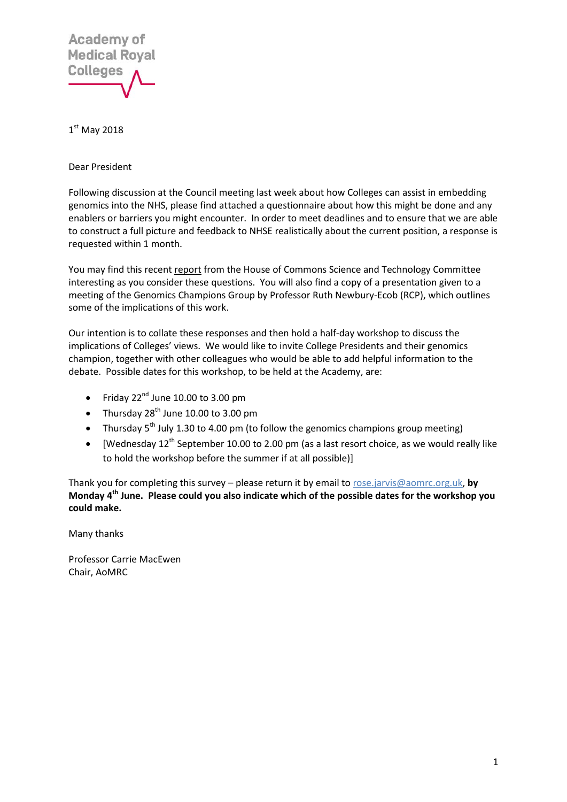

 $1<sup>st</sup>$  May 2018

Dear President

Following discussion at the Council meeting last week about how Colleges can assist in embedding genomics into the NHS, please find attached a questionnaire about how this might be done and any enablers or barriers you might encounter. In order to meet deadlines and to ensure that we are able to construct a full picture and feedback to NHSE realistically about the current position, a response is requested within 1 month.

You may find this recent [report](https://publications.parliament.uk/pa/cm201719/cmselect/cmsctech/349/34902.htm) from the House of Commons Science and Technology Committee interesting as you consider these questions. You will also find a copy of a presentation given to a meeting of the Genomics Champions Group by Professor Ruth Newbury-Ecob (RCP), which outlines some of the implications of this work.

Our intention is to collate these responses and then hold a half-day workshop to discuss the implications of Colleges' views. We would like to invite College Presidents and their genomics champion, together with other colleagues who would be able to add helpful information to the debate. Possible dates for this workshop, to be held at the Academy, are:

- Friday  $22^{nd}$  June 10.00 to 3.00 pm
- Thursday  $28<sup>th</sup>$  June 10.00 to 3.00 pm
- Thursday  $5^{th}$  July 1.30 to 4.00 pm (to follow the genomics champions group meeting)
- [Wednesday  $12^{th}$  September 10.00 to 2.00 pm (as a last resort choice, as we would really like to hold the workshop before the summer if at all possible)]

Thank you for completing this survey – please return it by email t[o rose.jarvis@aomrc.org.uk,](mailto:rose.jarvis@aomrc.org.uk) **by Monday 4th June. Please could you also indicate which of the possible dates for the workshop you could make.**

Many thanks

Professor Carrie MacEwen Chair, AoMRC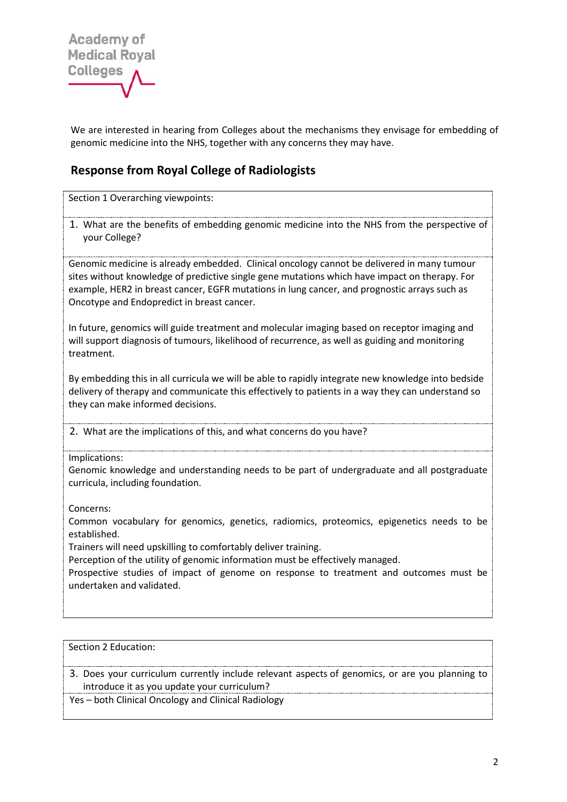

We are interested in hearing from Colleges about the mechanisms they envisage for embedding of genomic medicine into the NHS, together with any concerns they may have.

## **Response from Royal College of Radiologists**

Section 1 Overarching viewpoints:

1. What are the benefits of embedding genomic medicine into the NHS from the perspective of your College?

Genomic medicine is already embedded. Clinical oncology cannot be delivered in many tumour sites without knowledge of predictive single gene mutations which have impact on therapy. For example, HER2 in breast cancer, EGFR mutations in lung cancer, and prognostic arrays such as Oncotype and Endopredict in breast cancer.

In future, genomics will guide treatment and molecular imaging based on receptor imaging and will support diagnosis of tumours, likelihood of recurrence, as well as guiding and monitoring treatment.

By embedding this in all curricula we will be able to rapidly integrate new knowledge into bedside delivery of therapy and communicate this effectively to patients in a way they can understand so they can make informed decisions.

2. What are the implications of this, and what concerns do you have?

Implications:

Genomic knowledge and understanding needs to be part of undergraduate and all postgraduate curricula, including foundation.

Concerns:

Common vocabulary for genomics, genetics, radiomics, proteomics, epigenetics needs to be established.

Trainers will need upskilling to comfortably deliver training.

Perception of the utility of genomic information must be effectively managed.

Prospective studies of impact of genome on response to treatment and outcomes must be undertaken and validated.

Section 2 Education:

3. Does your curriculum currently include relevant aspects of genomics, or are you planning to introduce it as you update your curriculum?

Yes – both Clinical Oncology and Clinical Radiology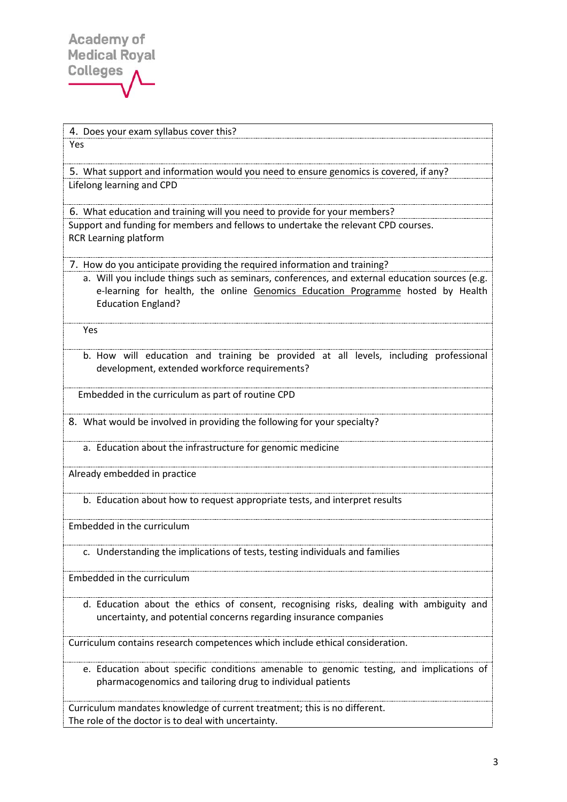4. Does your exam syllabus cover this?

Yes

5. What support and information would you need to ensure genomics is covered, if any? Lifelong learning and CPD

6. What education and training will you need to provide for your members? Support and funding for members and fellows to undertake the relevant CPD courses. RCR Learning platform

7. How do you anticipate providing the required information and training?

a. Will you include things such as seminars, conferences, and external education sources (e.g. e-learning for health, the online [Genomics Education Programme](https://www.genomicseducation.hee.nhs.uk/) hosted by Health Education England?

Yes

b. How will education and training be provided at all levels, including professional development, extended workforce requirements?

Embedded in the curriculum as part of routine CPD

8. What would be involved in providing the following for your specialty?

a. Education about the infrastructure for genomic medicine

Already embedded in practice

b. Education about how to request appropriate tests, and interpret results

Embedded in the curriculum

c. Understanding the implications of tests, testing individuals and families

Embedded in the curriculum

d. Education about the ethics of consent, recognising risks, dealing with ambiguity and uncertainty, and potential concerns regarding insurance companies

Curriculum contains research competences which include ethical consideration.

e. Education about specific conditions amenable to genomic testing, and implications of pharmacogenomics and tailoring drug to individual patients

Curriculum mandates knowledge of current treatment; this is no different. The role of the doctor is to deal with uncertainty.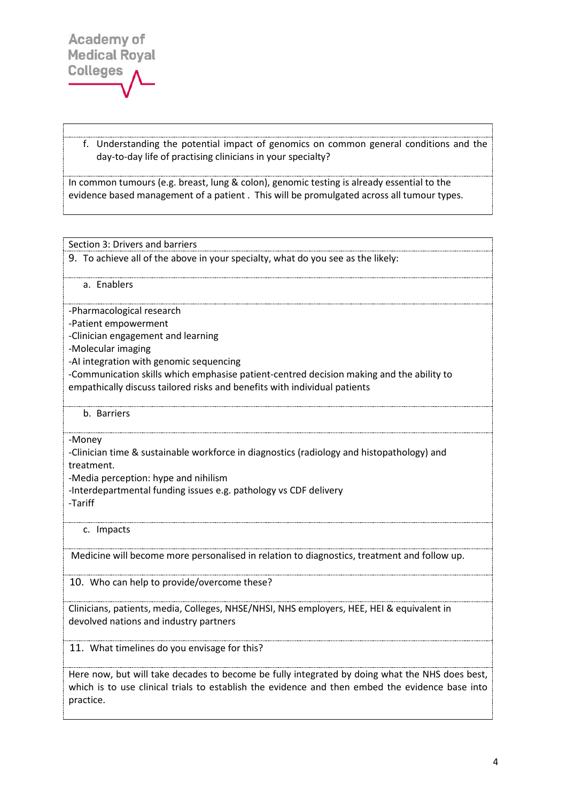f. Understanding the potential impact of genomics on common general conditions and the day-to-day life of practising clinicians in your specialty?

In common tumours (e.g. breast, lung & colon), genomic testing is already essential to the evidence based management of a patient . This will be promulgated across all tumour types.

Section 3: Drivers and barriers

9. To achieve all of the above in your specialty, what do you see as the likely:

a. Enablers

-Pharmacological research

-Patient empowerment

-Clinician engagement and learning

-Molecular imaging

-AI integration with genomic sequencing

-Communication skills which emphasise patient-centred decision making and the ability to empathically discuss tailored risks and benefits with individual patients

b. Barriers

-Money

-Clinician time & sustainable workforce in diagnostics (radiology and histopathology) and treatment.

-Media perception: hype and nihilism

-Interdepartmental funding issues e.g. pathology vs CDF delivery

-Tariff

c. Impacts

Medicine will become more personalised in relation to diagnostics, treatment and follow up.

10. Who can help to provide/overcome these?

Clinicians, patients, media, Colleges, NHSE/NHSI, NHS employers, HEE, HEI & equivalent in devolved nations and industry partners

11. What timelines do you envisage for this?

Here now, but will take decades to become be fully integrated by doing what the NHS does best, which is to use clinical trials to establish the evidence and then embed the evidence base into practice.